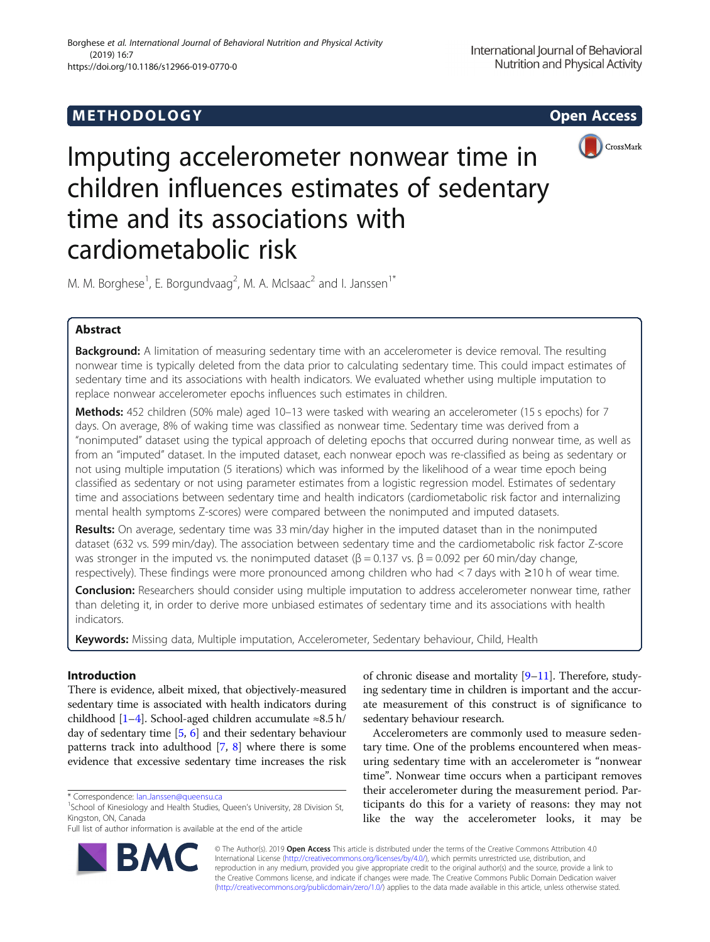## **METHODOLOGY CONSUMING ACCESS**





# Imputing accelerometer nonwear time in children influences estimates of sedentary time and its associations with cardiometabolic risk

M. M. Borghese<sup>1</sup>, E. Borgundvaag<sup>2</sup>, M. A. McIsaac<sup>2</sup> and I. Janssen<sup>1\*</sup>

## Abstract

Background: A limitation of measuring sedentary time with an accelerometer is device removal. The resulting nonwear time is typically deleted from the data prior to calculating sedentary time. This could impact estimates of sedentary time and its associations with health indicators. We evaluated whether using multiple imputation to replace nonwear accelerometer epochs influences such estimates in children.

Methods: 452 children (50% male) aged 10–13 were tasked with wearing an accelerometer (15 s epochs) for 7 days. On average, 8% of waking time was classified as nonwear time. Sedentary time was derived from a "nonimputed" dataset using the typical approach of deleting epochs that occurred during nonwear time, as well as from an "imputed" dataset. In the imputed dataset, each nonwear epoch was re-classified as being as sedentary or not using multiple imputation (5 iterations) which was informed by the likelihood of a wear time epoch being classified as sedentary or not using parameter estimates from a logistic regression model. Estimates of sedentary time and associations between sedentary time and health indicators (cardiometabolic risk factor and internalizing mental health symptoms Z-scores) were compared between the nonimputed and imputed datasets.

Results: On average, sedentary time was 33 min/day higher in the imputed dataset than in the nonimputed dataset (632 vs. 599 min/day). The association between sedentary time and the cardiometabolic risk factor Z-score was stronger in the imputed vs. the nonimputed dataset (β = 0.137 vs. β = 0.092 per 60 min/day change, respectively). These findings were more pronounced among children who had < 7 days with ≥10 h of wear time.

Conclusion: Researchers should consider using multiple imputation to address accelerometer nonwear time, rather than deleting it, in order to derive more unbiased estimates of sedentary time and its associations with health indicators.

Keywords: Missing data, Multiple imputation, Accelerometer, Sedentary behaviour, Child, Health

## Introduction

There is evidence, albeit mixed, that objectively-measured sedentary time is associated with health indicators during childhood [[1](#page-10-0)–[4](#page-11-0)]. School-aged children accumulate ≈8.5 h/ day of sedentary time [\[5](#page-11-0), [6](#page-11-0)] and their sedentary behaviour patterns track into adulthood [\[7](#page-11-0), [8\]](#page-11-0) where there is some evidence that excessive sedentary time increases the risk

Full list of author information is available at the end of the article



of chronic disease and mortality [\[9](#page-11-0)–[11\]](#page-11-0). Therefore, studying sedentary time in children is important and the accurate measurement of this construct is of significance to sedentary behaviour research.

Accelerometers are commonly used to measure sedentary time. One of the problems encountered when measuring sedentary time with an accelerometer is "nonwear time". Nonwear time occurs when a participant removes their accelerometer during the measurement period. Participants do this for a variety of reasons: they may not like the way the accelerometer looks, it may be

© The Author(s). 2019 **Open Access** This article is distributed under the terms of the Creative Commons Attribution 4.0 International License [\(http://creativecommons.org/licenses/by/4.0/](http://creativecommons.org/licenses/by/4.0/)), which permits unrestricted use, distribution, and reproduction in any medium, provided you give appropriate credit to the original author(s) and the source, provide a link to the Creative Commons license, and indicate if changes were made. The Creative Commons Public Domain Dedication waiver [\(http://creativecommons.org/publicdomain/zero/1.0/](http://creativecommons.org/publicdomain/zero/1.0/)) applies to the data made available in this article, unless otherwise stated.

<sup>\*</sup> Correspondence: [Ian.Janssen@queensu.ca](mailto:Ian.Janssen@queensu.ca) <sup>1</sup>

<sup>&</sup>lt;sup>1</sup>School of Kinesiology and Health Studies, Queen's University, 28 Division St, Kingston, ON, Canada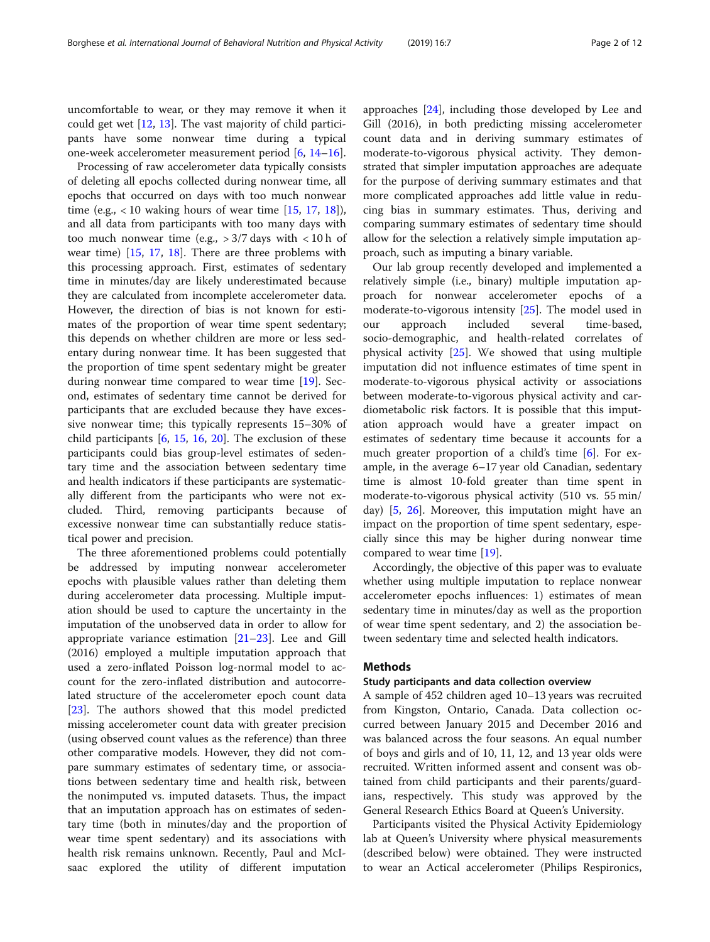uncomfortable to wear, or they may remove it when it could get wet [\[12](#page-11-0), [13](#page-11-0)]. The vast majority of child participants have some nonwear time during a typical one-week accelerometer measurement period [\[6](#page-11-0), [14](#page-11-0)–[16\]](#page-11-0).

Processing of raw accelerometer data typically consists of deleting all epochs collected during nonwear time, all epochs that occurred on days with too much nonwear time (e.g.,  $< 10$  waking hours of wear time [[15,](#page-11-0) [17](#page-11-0), [18](#page-11-0)]), and all data from participants with too many days with too much nonwear time (e.g.,  $>3/7$  days with  $< 10$  h of wear time) [[15,](#page-11-0) [17,](#page-11-0) [18\]](#page-11-0). There are three problems with this processing approach. First, estimates of sedentary time in minutes/day are likely underestimated because they are calculated from incomplete accelerometer data. However, the direction of bias is not known for estimates of the proportion of wear time spent sedentary; this depends on whether children are more or less sedentary during nonwear time. It has been suggested that the proportion of time spent sedentary might be greater during nonwear time compared to wear time [\[19\]](#page-11-0). Second, estimates of sedentary time cannot be derived for participants that are excluded because they have excessive nonwear time; this typically represents 15–30% of child participants  $[6, 15, 16, 20]$  $[6, 15, 16, 20]$  $[6, 15, 16, 20]$  $[6, 15, 16, 20]$  $[6, 15, 16, 20]$  $[6, 15, 16, 20]$  $[6, 15, 16, 20]$  $[6, 15, 16, 20]$ . The exclusion of these participants could bias group-level estimates of sedentary time and the association between sedentary time and health indicators if these participants are systematically different from the participants who were not excluded. Third, removing participants because of excessive nonwear time can substantially reduce statistical power and precision.

The three aforementioned problems could potentially be addressed by imputing nonwear accelerometer epochs with plausible values rather than deleting them during accelerometer data processing. Multiple imputation should be used to capture the uncertainty in the imputation of the unobserved data in order to allow for appropriate variance estimation  $[21-23]$  $[21-23]$  $[21-23]$  $[21-23]$ . Lee and Gill (2016) employed a multiple imputation approach that used a zero-inflated Poisson log-normal model to account for the zero-inflated distribution and autocorrelated structure of the accelerometer epoch count data [[23\]](#page-11-0). The authors showed that this model predicted missing accelerometer count data with greater precision (using observed count values as the reference) than three other comparative models. However, they did not compare summary estimates of sedentary time, or associations between sedentary time and health risk, between the nonimputed vs. imputed datasets. Thus, the impact that an imputation approach has on estimates of sedentary time (both in minutes/day and the proportion of wear time spent sedentary) and its associations with health risk remains unknown. Recently, Paul and McIsaac explored the utility of different imputation approaches [\[24\]](#page-11-0), including those developed by Lee and Gill (2016), in both predicting missing accelerometer count data and in deriving summary estimates of moderate-to-vigorous physical activity. They demonstrated that simpler imputation approaches are adequate for the purpose of deriving summary estimates and that more complicated approaches add little value in reducing bias in summary estimates. Thus, deriving and comparing summary estimates of sedentary time should allow for the selection a relatively simple imputation approach, such as imputing a binary variable.

Our lab group recently developed and implemented a relatively simple (i.e., binary) multiple imputation approach for nonwear accelerometer epochs of a moderate-to-vigorous intensity [\[25](#page-11-0)]. The model used in our approach included several time-based, socio-demographic, and health-related correlates of physical activity [\[25](#page-11-0)]. We showed that using multiple imputation did not influence estimates of time spent in moderate-to-vigorous physical activity or associations between moderate-to-vigorous physical activity and cardiometabolic risk factors. It is possible that this imputation approach would have a greater impact on estimates of sedentary time because it accounts for a much greater proportion of a child's time [\[6](#page-11-0)]. For example, in the average 6–17 year old Canadian, sedentary time is almost 10-fold greater than time spent in moderate-to-vigorous physical activity (510 vs. 55 min/ day) [[5,](#page-11-0) [26](#page-11-0)]. Moreover, this imputation might have an impact on the proportion of time spent sedentary, especially since this may be higher during nonwear time compared to wear time [\[19\]](#page-11-0).

Accordingly, the objective of this paper was to evaluate whether using multiple imputation to replace nonwear accelerometer epochs influences: 1) estimates of mean sedentary time in minutes/day as well as the proportion of wear time spent sedentary, and 2) the association between sedentary time and selected health indicators.

## Methods

## Study participants and data collection overview

A sample of 452 children aged 10–13 years was recruited from Kingston, Ontario, Canada. Data collection occurred between January 2015 and December 2016 and was balanced across the four seasons. An equal number of boys and girls and of 10, 11, 12, and 13 year olds were recruited. Written informed assent and consent was obtained from child participants and their parents/guardians, respectively. This study was approved by the General Research Ethics Board at Queen's University.

Participants visited the Physical Activity Epidemiology lab at Queen's University where physical measurements (described below) were obtained. They were instructed to wear an Actical accelerometer (Philips Respironics,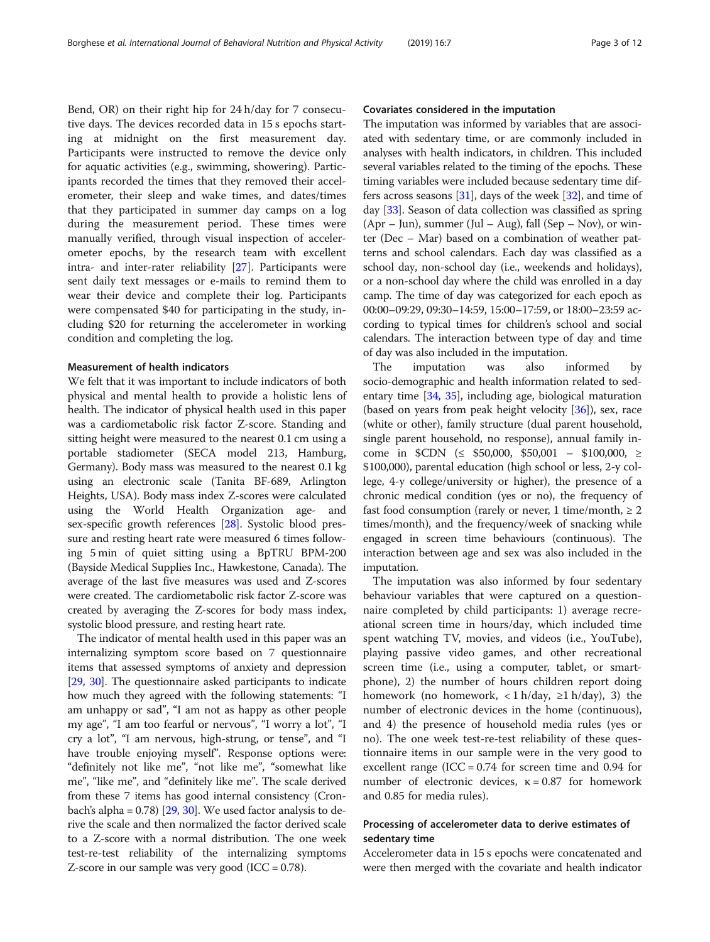Bend, OR) on their right hip for 24 h/day for 7 consecutive days. The devices recorded data in 15 s epochs starting at midnight on the first measurement day. Participants were instructed to remove the device only for aquatic activities (e.g., swimming, showering). Participants recorded the times that they removed their accelerometer, their sleep and wake times, and dates/times that they participated in summer day camps on a log during the measurement period. These times were manually verified, through visual inspection of accelerometer epochs, by the research team with excellent intra- and inter-rater reliability [[27](#page-11-0)]. Participants were sent daily text messages or e-mails to remind them to wear their device and complete their log. Participants were compensated \$40 for participating in the study, including \$20 for returning the accelerometer in working condition and completing the log.

## Measurement of health indicators

We felt that it was important to include indicators of both physical and mental health to provide a holistic lens of health. The indicator of physical health used in this paper was a cardiometabolic risk factor Z-score. Standing and sitting height were measured to the nearest 0.1 cm using a portable stadiometer (SECA model 213, Hamburg, Germany). Body mass was measured to the nearest 0.1 kg using an electronic scale (Tanita BF-689, Arlington Heights, USA). Body mass index Z-scores were calculated using the World Health Organization age- and sex-specific growth references [\[28](#page-11-0)]. Systolic blood pressure and resting heart rate were measured 6 times following 5 min of quiet sitting using a BpTRU BPM-200 (Bayside Medical Supplies Inc., Hawkestone, Canada). The average of the last five measures was used and Z-scores were created. The cardiometabolic risk factor Z-score was created by averaging the Z-scores for body mass index, systolic blood pressure, and resting heart rate.

The indicator of mental health used in this paper was an internalizing symptom score based on 7 questionnaire items that assessed symptoms of anxiety and depression [[29](#page-11-0), [30\]](#page-11-0). The questionnaire asked participants to indicate how much they agreed with the following statements: "I am unhappy or sad", "I am not as happy as other people my age", "I am too fearful or nervous", "I worry a lot", "I cry a lot", "I am nervous, high-strung, or tense", and "I have trouble enjoying myself". Response options were: "definitely not like me", "not like me", "somewhat like me", "like me", and "definitely like me". The scale derived from these 7 items has good internal consistency (Cronbach's alpha =  $0.78$ ) [ $29, 30$  $29, 30$ ]. We used factor analysis to derive the scale and then normalized the factor derived scale to a Z-score with a normal distribution. The one week test-re-test reliability of the internalizing symptoms Z-score in our sample was very good (ICC =  $0.78$ ).

## Covariates considered in the imputation

The imputation was informed by variables that are associated with sedentary time, or are commonly included in analyses with health indicators, in children. This included several variables related to the timing of the epochs. These timing variables were included because sedentary time differs across seasons  $[31]$ , days of the week  $[32]$ , and time of day [[33](#page-11-0)]. Season of data collection was classified as spring  $(Apr - Jun)$ , summer (Jul – Aug), fall (Sep – Nov), or winter (Dec – Mar) based on a combination of weather patterns and school calendars. Each day was classified as a school day, non-school day (i.e., weekends and holidays), or a non-school day where the child was enrolled in a day camp. The time of day was categorized for each epoch as 00:00–09:29, 09:30–14:59, 15:00–17:59, or 18:00–23:59 according to typical times for children's school and social calendars. The interaction between type of day and time of day was also included in the imputation.

The imputation was also informed by socio-demographic and health information related to sedentary time [\[34,](#page-11-0) [35](#page-11-0)], including age, biological maturation (based on years from peak height velocity [\[36\]](#page-11-0)), sex, race (white or other), family structure (dual parent household, single parent household, no response), annual family income in \$CDN (≤ \$50,000, \$50,001 – \$100,000, ≥ \$100,000), parental education (high school or less, 2-y college, 4-y college/university or higher), the presence of a chronic medical condition (yes or no), the frequency of fast food consumption (rarely or never, 1 time/month,  $\geq 2$ times/month), and the frequency/week of snacking while engaged in screen time behaviours (continuous). The interaction between age and sex was also included in the imputation.

The imputation was also informed by four sedentary behaviour variables that were captured on a questionnaire completed by child participants: 1) average recreational screen time in hours/day, which included time spent watching TV, movies, and videos (i.e., YouTube), playing passive video games, and other recreational screen time (i.e., using a computer, tablet, or smartphone), 2) the number of hours children report doing homework (no homework,  $\langle 1 \text{ h}/\text{day}, 21 \text{ h}/\text{day} \rangle$ , 3) the number of electronic devices in the home (continuous), and 4) the presence of household media rules (yes or no). The one week test-re-test reliability of these questionnaire items in our sample were in the very good to excellent range (ICC =  $0.74$  for screen time and  $0.94$  for number of electronic devices,  $κ = 0.87$  for homework and 0.85 for media rules).

## Processing of accelerometer data to derive estimates of sedentary time

Accelerometer data in 15 s epochs were concatenated and were then merged with the covariate and health indicator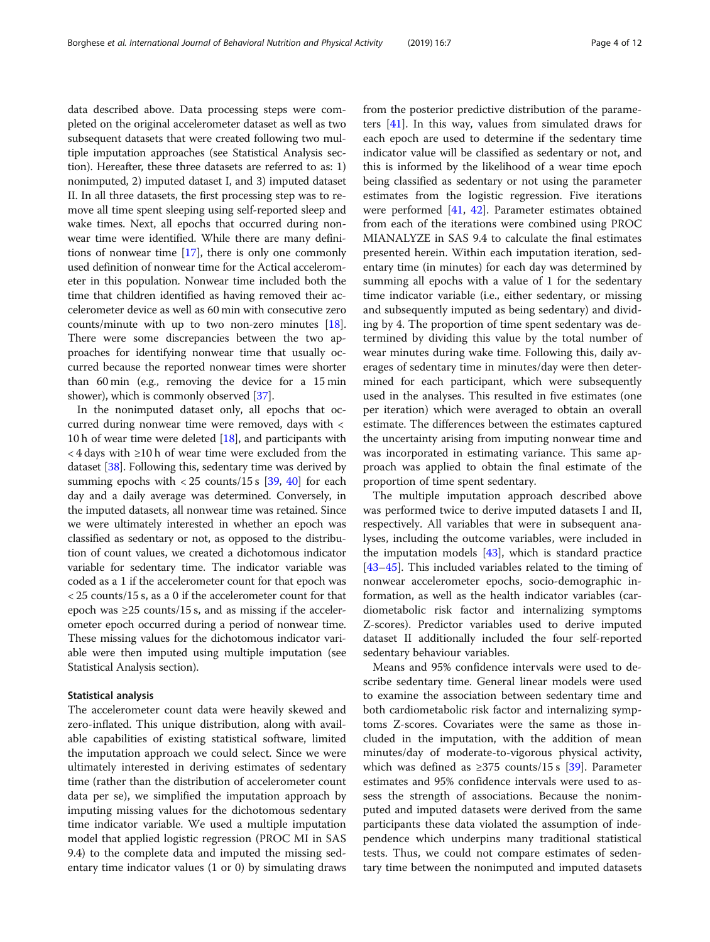data described above. Data processing steps were completed on the original accelerometer dataset as well as two subsequent datasets that were created following two multiple imputation approaches (see Statistical Analysis section). Hereafter, these three datasets are referred to as: 1) nonimputed, 2) imputed dataset I, and 3) imputed dataset II. In all three datasets, the first processing step was to remove all time spent sleeping using self-reported sleep and wake times. Next, all epochs that occurred during nonwear time were identified. While there are many definitions of nonwear time [\[17\]](#page-11-0), there is only one commonly used definition of nonwear time for the Actical accelerometer in this population. Nonwear time included both the time that children identified as having removed their accelerometer device as well as 60 min with consecutive zero counts/minute with up to two non-zero minutes [[18](#page-11-0)]. There were some discrepancies between the two approaches for identifying nonwear time that usually occurred because the reported nonwear times were shorter than 60 min (e.g., removing the device for a 15 min shower), which is commonly observed [\[37\]](#page-11-0).

In the nonimputed dataset only, all epochs that occurred during nonwear time were removed, days with < 10 h of wear time were deleted [\[18\]](#page-11-0), and participants with < 4 days with ≥10 h of wear time were excluded from the dataset [[38](#page-11-0)]. Following this, sedentary time was derived by summing epochs with  $\langle 25 \text{ counts}/15 \text{ s} \space |39, 40 \rangle$  $\langle 25 \text{ counts}/15 \text{ s} \space |39, 40 \rangle$  $\langle 25 \text{ counts}/15 \text{ s} \space |39, 40 \rangle$  for each day and a daily average was determined. Conversely, in the imputed datasets, all nonwear time was retained. Since we were ultimately interested in whether an epoch was classified as sedentary or not, as opposed to the distribution of count values, we created a dichotomous indicator variable for sedentary time. The indicator variable was coded as a 1 if the accelerometer count for that epoch was < 25 counts/15 s, as a 0 if the accelerometer count for that epoch was ≥25 counts/15 s, and as missing if the accelerometer epoch occurred during a period of nonwear time. These missing values for the dichotomous indicator variable were then imputed using multiple imputation (see Statistical Analysis section).

## Statistical analysis

The accelerometer count data were heavily skewed and zero-inflated. This unique distribution, along with available capabilities of existing statistical software, limited the imputation approach we could select. Since we were ultimately interested in deriving estimates of sedentary time (rather than the distribution of accelerometer count data per se), we simplified the imputation approach by imputing missing values for the dichotomous sedentary time indicator variable. We used a multiple imputation model that applied logistic regression (PROC MI in SAS 9.4) to the complete data and imputed the missing sedentary time indicator values (1 or 0) by simulating draws from the posterior predictive distribution of the parameters [\[41](#page-11-0)]. In this way, values from simulated draws for each epoch are used to determine if the sedentary time indicator value will be classified as sedentary or not, and this is informed by the likelihood of a wear time epoch being classified as sedentary or not using the parameter estimates from the logistic regression. Five iterations were performed [[41,](#page-11-0) [42\]](#page-11-0). Parameter estimates obtained from each of the iterations were combined using PROC MIANALYZE in SAS 9.4 to calculate the final estimates presented herein. Within each imputation iteration, sedentary time (in minutes) for each day was determined by summing all epochs with a value of 1 for the sedentary time indicator variable (i.e., either sedentary, or missing and subsequently imputed as being sedentary) and dividing by 4. The proportion of time spent sedentary was determined by dividing this value by the total number of wear minutes during wake time. Following this, daily averages of sedentary time in minutes/day were then determined for each participant, which were subsequently used in the analyses. This resulted in five estimates (one per iteration) which were averaged to obtain an overall estimate. The differences between the estimates captured the uncertainty arising from imputing nonwear time and was incorporated in estimating variance. This same approach was applied to obtain the final estimate of the proportion of time spent sedentary.

The multiple imputation approach described above was performed twice to derive imputed datasets I and II, respectively. All variables that were in subsequent analyses, including the outcome variables, were included in the imputation models [[43\]](#page-11-0), which is standard practice [[43](#page-11-0)–[45](#page-11-0)]. This included variables related to the timing of nonwear accelerometer epochs, socio-demographic information, as well as the health indicator variables (cardiometabolic risk factor and internalizing symptoms Z-scores). Predictor variables used to derive imputed dataset II additionally included the four self-reported sedentary behaviour variables.

Means and 95% confidence intervals were used to describe sedentary time. General linear models were used to examine the association between sedentary time and both cardiometabolic risk factor and internalizing symptoms Z-scores. Covariates were the same as those included in the imputation, with the addition of mean minutes/day of moderate-to-vigorous physical activity, which was defined as  $\geq$ 375 counts/15 s [\[39](#page-11-0)]. Parameter estimates and 95% confidence intervals were used to assess the strength of associations. Because the nonimputed and imputed datasets were derived from the same participants these data violated the assumption of independence which underpins many traditional statistical tests. Thus, we could not compare estimates of sedentary time between the nonimputed and imputed datasets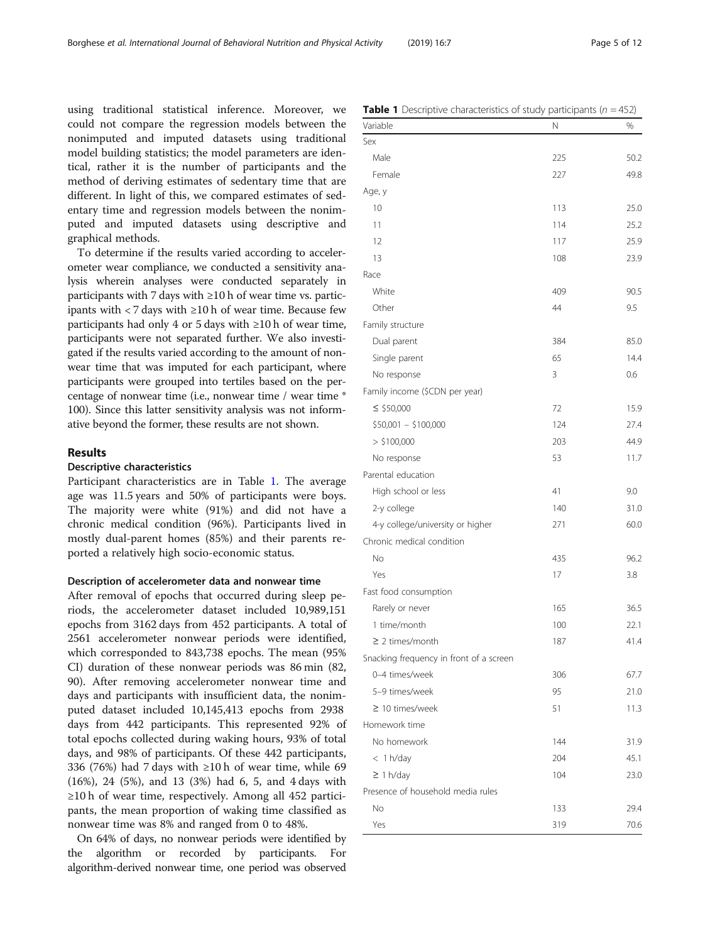using traditional statistical inference. Moreover, we could not compare the regression models between the nonimputed and imputed datasets using traditional model building statistics; the model parameters are identical, rather it is the number of participants and the method of deriving estimates of sedentary time that are different. In light of this, we compared estimates of sedentary time and regression models between the nonimputed and imputed datasets using descriptive and graphical methods.

To determine if the results varied according to accelerometer wear compliance, we conducted a sensitivity analysis wherein analyses were conducted separately in participants with 7 days with  $\geq 10$  h of wear time vs. participants with < 7 days with ≥10 h of wear time. Because few participants had only 4 or 5 days with ≥10 h of wear time, participants were not separated further. We also investigated if the results varied according to the amount of nonwear time that was imputed for each participant, where participants were grouped into tertiles based on the percentage of nonwear time (i.e., nonwear time / wear time \* 100). Since this latter sensitivity analysis was not informative beyond the former, these results are not shown.

## Results

## Descriptive characteristics

Participant characteristics are in Table 1. The average age was 11.5 years and 50% of participants were boys. The majority were white (91%) and did not have a chronic medical condition (96%). Participants lived in mostly dual-parent homes (85%) and their parents reported a relatively high socio-economic status.

## Description of accelerometer data and nonwear time

After removal of epochs that occurred during sleep periods, the accelerometer dataset included 10,989,151 epochs from 3162 days from 452 participants. A total of 2561 accelerometer nonwear periods were identified, which corresponded to 843,738 epochs. The mean (95% CI) duration of these nonwear periods was 86 min (82, 90). After removing accelerometer nonwear time and days and participants with insufficient data, the nonimputed dataset included 10,145,413 epochs from 2938 days from 442 participants. This represented 92% of total epochs collected during waking hours, 93% of total days, and 98% of participants. Of these 442 participants, 336 (76%) had 7 days with  $\geq 10$  h of wear time, while 69 (16%), 24 (5%), and 13 (3%) had 6, 5, and 4 days with ≥10 h of wear time, respectively. Among all 452 participants, the mean proportion of waking time classified as nonwear time was 8% and ranged from 0 to 48%.

On 64% of days, no nonwear periods were identified by the algorithm or recorded by participants. For algorithm-derived nonwear time, one period was observed

|  | <b>Table 1</b> Descriptive characteristics of study participants ( $n = 452$ ) |  |  |
|--|--------------------------------------------------------------------------------|--|--|
|  |                                                                                |  |  |

| Variable                                | Ν   | %    |
|-----------------------------------------|-----|------|
| Sex                                     |     |      |
| Male                                    | 225 | 50.2 |
| Female                                  | 227 | 49.8 |
| Age, y                                  |     |      |
| 10                                      | 113 | 25.0 |
| 11                                      | 114 | 25.2 |
| 12                                      | 117 | 25.9 |
| 13                                      | 108 | 23.9 |
| Race                                    |     |      |
| White                                   | 409 | 90.5 |
| Other                                   | 44  | 9.5  |
| Family structure                        |     |      |
| Dual parent                             | 384 | 85.0 |
| Single parent                           | 65  | 14.4 |
| No response                             | 3   | 0.6  |
| Family income (\$CDN per year)          |     |      |
| $\le$ \$50,000                          | 72  | 15.9 |
| $$50,001 - $100,000$                    | 124 | 27.4 |
| > \$100,000                             | 203 | 44.9 |
| No response                             | 53  | 11.7 |
| Parental education                      |     |      |
| High school or less                     | 41  | 9.0  |
| 2-y college                             | 140 | 31.0 |
| 4-y college/university or higher        | 271 | 60.0 |
| Chronic medical condition               |     |      |
| No                                      | 435 | 96.2 |
| Yes                                     | 17  | 3.8  |
| Fast food consumption                   |     |      |
| Rarely or never                         | 165 | 36.5 |
| 1 time/month                            | 100 | 22.1 |
| $\geq$ 2 times/month                    | 187 | 41.4 |
| Snacking frequency in front of a screen |     |      |
| 0-4 times/week                          | 306 | 67.7 |
| 5-9 times/week                          | 95  | 21.0 |
| $\geq$ 10 times/week                    | 51  | 11.3 |
| Homework time                           |     |      |
| No homework                             | 144 | 31.9 |
| $<$ 1 h/day                             | 204 | 45.1 |
| $\geq$ 1 h/day                          | 104 | 23.0 |
| Presence of household media rules       |     |      |
| No                                      | 133 | 29.4 |
| Yes                                     | 319 | 70.6 |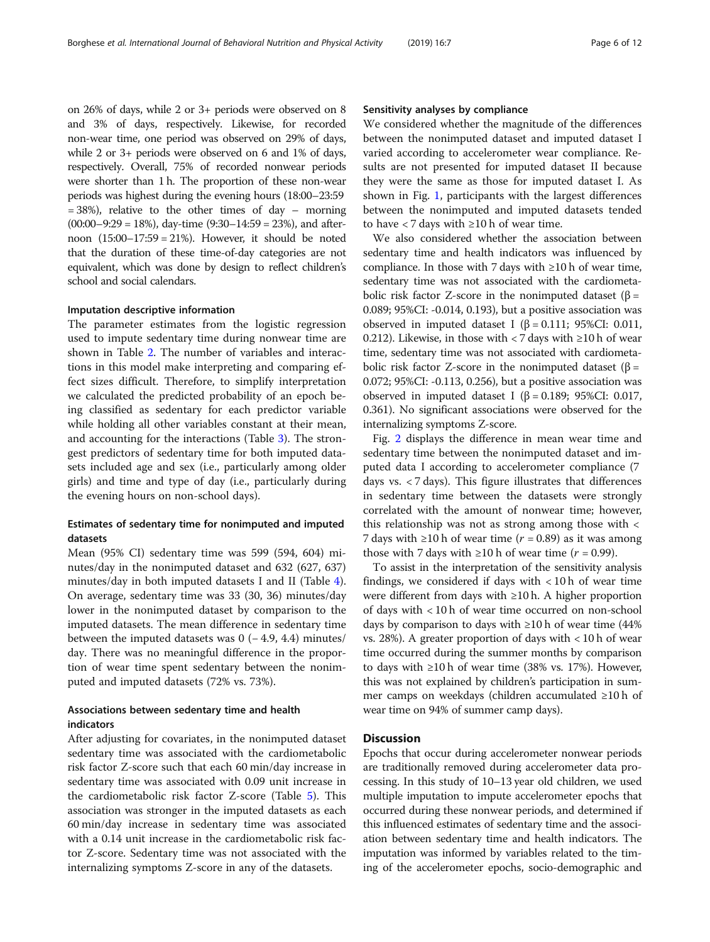on 26% of days, while 2 or 3+ periods were observed on 8 and 3% of days, respectively. Likewise, for recorded non-wear time, one period was observed on 29% of days, while 2 or 3+ periods were observed on 6 and 1% of days, respectively. Overall, 75% of recorded nonwear periods were shorter than 1 h. The proportion of these non-wear periods was highest during the evening hours (18:00–23:59  $= 38\%$ ), relative to the other times of day – morning  $(00:00-9:29 = 18%)$ , day-time  $(9:30-14:59 = 23%)$ , and afternoon (15:00–17:59 = 21%). However, it should be noted that the duration of these time-of-day categories are not equivalent, which was done by design to reflect children's school and social calendars.

## Imputation descriptive information

The parameter estimates from the logistic regression used to impute sedentary time during nonwear time are shown in Table [2.](#page-6-0) The number of variables and interactions in this model make interpreting and comparing effect sizes difficult. Therefore, to simplify interpretation we calculated the predicted probability of an epoch being classified as sedentary for each predictor variable while holding all other variables constant at their mean, and accounting for the interactions (Table [3](#page-8-0)). The strongest predictors of sedentary time for both imputed datasets included age and sex (i.e., particularly among older girls) and time and type of day (i.e., particularly during the evening hours on non-school days).

## Estimates of sedentary time for nonimputed and imputed datasets

Mean (95% CI) sedentary time was 599 (594, 604) minutes/day in the nonimputed dataset and 632 (627, 637) minutes/day in both imputed datasets I and II (Table [4](#page-9-0)). On average, sedentary time was 33 (30, 36) minutes/day lower in the nonimputed dataset by comparison to the imputed datasets. The mean difference in sedentary time between the imputed datasets was  $0$  (−4.9, 4.4) minutes/ day. There was no meaningful difference in the proportion of wear time spent sedentary between the nonimputed and imputed datasets (72% vs. 73%).

## Associations between sedentary time and health indicators

After adjusting for covariates, in the nonimputed dataset sedentary time was associated with the cardiometabolic risk factor Z-score such that each 60 min/day increase in sedentary time was associated with 0.09 unit increase in the cardiometabolic risk factor Z-score (Table [5\)](#page-9-0). This association was stronger in the imputed datasets as each 60 min/day increase in sedentary time was associated with a 0.14 unit increase in the cardiometabolic risk factor Z-score. Sedentary time was not associated with the internalizing symptoms Z-score in any of the datasets.

### Sensitivity analyses by compliance

We considered whether the magnitude of the differences between the nonimputed dataset and imputed dataset I varied according to accelerometer wear compliance. Results are not presented for imputed dataset II because they were the same as those for imputed dataset I. As shown in Fig. [1](#page-10-0), participants with the largest differences between the nonimputed and imputed datasets tended to have  $\langle 7 \text{ days with } \geq 10 \text{ h of wear time.}$ 

We also considered whether the association between sedentary time and health indicators was influenced by compliance. In those with 7 days with  $\geq 10$  h of wear time, sedentary time was not associated with the cardiometabolic risk factor Z-score in the nonimputed dataset (β = 0.089; 95%CI: -0.014, 0.193), but a positive association was observed in imputed dataset I (β = 0.111; 95%CI: 0.011, 0.212). Likewise, in those with < 7 days with  $\geq$ 10 h of wear time, sedentary time was not associated with cardiometabolic risk factor Z-score in the nonimputed dataset ( $\beta$  = 0.072; 95%CI: -0.113, 0.256), but a positive association was observed in imputed dataset I (β = 0.189; 95%CI: 0.017, 0.361). No significant associations were observed for the internalizing symptoms Z-score.

Fig. [2](#page-10-0) displays the difference in mean wear time and sedentary time between the nonimputed dataset and imputed data I according to accelerometer compliance (7 days vs. < 7 days). This figure illustrates that differences in sedentary time between the datasets were strongly correlated with the amount of nonwear time; however, this relationship was not as strong among those with < 7 days with ≥10 h of wear time ( $r = 0.89$ ) as it was among those with 7 days with  $\geq 10$  h of wear time ( $r = 0.99$ ).

To assist in the interpretation of the sensitivity analysis findings, we considered if days with  $< 10$  h of wear time were different from days with ≥10 h. A higher proportion of days with < 10 h of wear time occurred on non-school days by comparison to days with  $\geq 10$  h of wear time (44% vs. 28%). A greater proportion of days with < 10 h of wear time occurred during the summer months by comparison to days with ≥10 h of wear time (38% vs. 17%). However, this was not explained by children's participation in summer camps on weekdays (children accumulated ≥10 h of wear time on 94% of summer camp days).

## **Discussion**

Epochs that occur during accelerometer nonwear periods are traditionally removed during accelerometer data processing. In this study of 10–13 year old children, we used multiple imputation to impute accelerometer epochs that occurred during these nonwear periods, and determined if this influenced estimates of sedentary time and the association between sedentary time and health indicators. The imputation was informed by variables related to the timing of the accelerometer epochs, socio-demographic and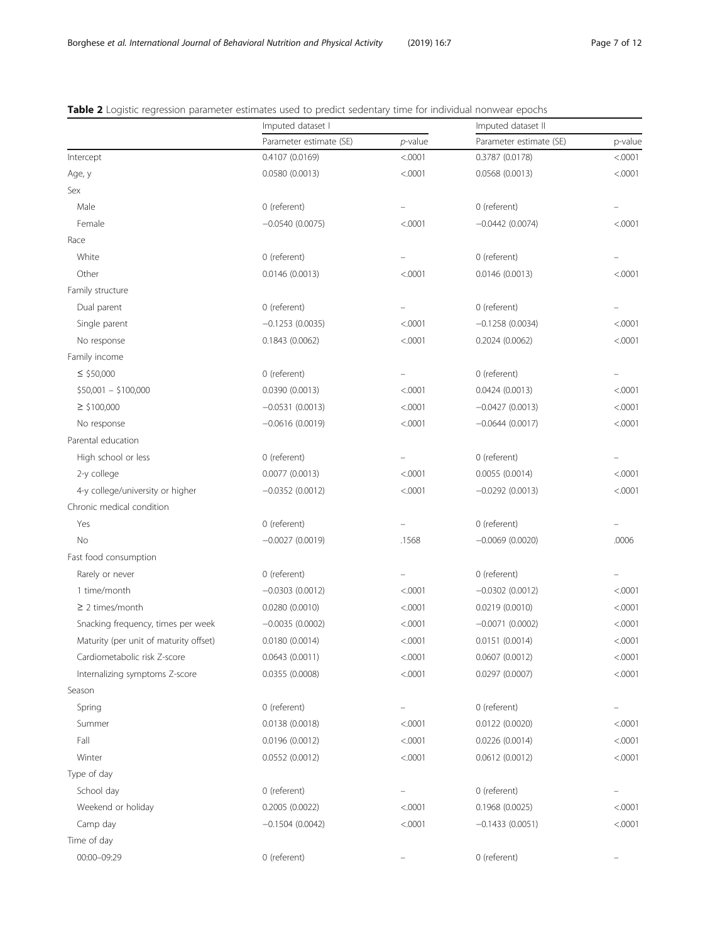|                                        | Imputed dataset I       |            | Imputed dataset II      |         |
|----------------------------------------|-------------------------|------------|-------------------------|---------|
|                                        | Parameter estimate (SE) | $p$ -value | Parameter estimate (SE) | p-value |
| Intercept                              | 0.4107 (0.0169)         | < .0001    | 0.3787 (0.0178)         | < .0001 |
| Age, y                                 | 0.0580(0.0013)          | < .0001    | 0.0568(0.0013)          | < .0001 |
| Sex                                    |                         |            |                         |         |
| Male                                   | 0 (referent)            |            | 0 (referent)            |         |
| Female                                 | $-0.0540(0.0075)$       | < .0001    | $-0.0442(0.0074)$       | < .0001 |
| Race                                   |                         |            |                         |         |
| White                                  | 0 (referent)            |            | 0 (referent)            |         |
| Other                                  | 0.0146(0.0013)          | < .0001    | 0.0146(0.0013)          | < .0001 |
| Family structure                       |                         |            |                         |         |
| Dual parent                            | 0 (referent)            |            | 0 (referent)            |         |
| Single parent                          | $-0.1253(0.0035)$       | < .0001    | $-0.1258(0.0034)$       | < .0001 |
| No response                            | 0.1843(0.0062)          | < .0001    | 0.2024(0.0062)          | < .0001 |
| Family income                          |                         |            |                         |         |
| $\le$ \$50,000                         | 0 (referent)            |            | 0 (referent)            |         |
| $$50,001 - $100,000$                   | 0.0390(0.0013)          | < .0001    | 0.0424(0.0013)          | < .0001 |
| $\geq$ \$100,000                       | $-0.0531(0.0013)$       | < .0001    | $-0.0427(0.0013)$       | < .0001 |
| No response                            | $-0.0616(0.0019)$       | < .0001    | $-0.0644(0.0017)$       | < .0001 |
| Parental education                     |                         |            |                         |         |
| High school or less                    | 0 (referent)            |            | 0 (referent)            |         |
| 2-y college                            | 0.0077(0.0013)          | < .0001    | 0.0055(0.0014)          | < .0001 |
| 4-y college/university or higher       | $-0.0352(0.0012)$       | < .0001    | $-0.0292(0.0013)$       | < .0001 |
| Chronic medical condition              |                         |            |                         |         |
| Yes                                    | 0 (referent)            |            | 0 (referent)            |         |
| No                                     | $-0.0027(0.0019)$       | .1568      | $-0.0069(0.0020)$       | .0006   |
| Fast food consumption                  |                         |            |                         |         |
| Rarely or never                        | 0 (referent)            |            | 0 (referent)            |         |
| 1 time/month                           | $-0.0303(0.0012)$       | < .0001    | $-0.0302(0.0012)$       | < .0001 |
| $\geq$ 2 times/month                   | 0.0280(0.0010)          | < .0001    | 0.0219(0.0010)          | < .0001 |
| Snacking frequency, times per week     | $-0.0035(0.0002)$       | < .0001    | $-0.0071(0.0002)$       | < .0001 |
| Maturity (per unit of maturity offset) | 0.0180(0.0014)          | < .0001    | 0.0151(0.0014)          | < .0001 |
| Cardiometabolic risk Z-score           | 0.0643(0.0011)          | < .0001    | 0.0607(0.0012)          | < .0001 |
| Internalizing symptoms Z-score         | 0.0355 (0.0008)         | < .0001    | 0.0297(0.0007)          | < .0001 |
| Season                                 |                         |            |                         |         |
| Spring                                 | 0 (referent)            |            | 0 (referent)            |         |
| Summer                                 | 0.0138 (0.0018)         | < .0001    | 0.0122(0.0020)          | < .0001 |
| Fall                                   | 0.0196 (0.0012)         | < .0001    | 0.0226(0.0014)          | < .0001 |
| Winter                                 | 0.0552 (0.0012)         | < .0001    | 0.0612(0.0012)          | < .0001 |
| Type of day                            |                         |            |                         |         |
| School day                             | 0 (referent)            |            | 0 (referent)            |         |
| Weekend or holiday                     | 0.2005 (0.0022)         | < .0001    | 0.1968(0.0025)          | < .0001 |
| Camp day                               | $-0.1504(0.0042)$       | < .0001    | $-0.1433(0.0051)$       | < .0001 |
| Time of day                            |                         |            |                         |         |
| 00:00-09:29                            | 0 (referent)            |            | 0 (referent)            |         |

<span id="page-6-0"></span>Table 2 Logistic regression parameter estimates used to predict sedentary time for individual nonwear epochs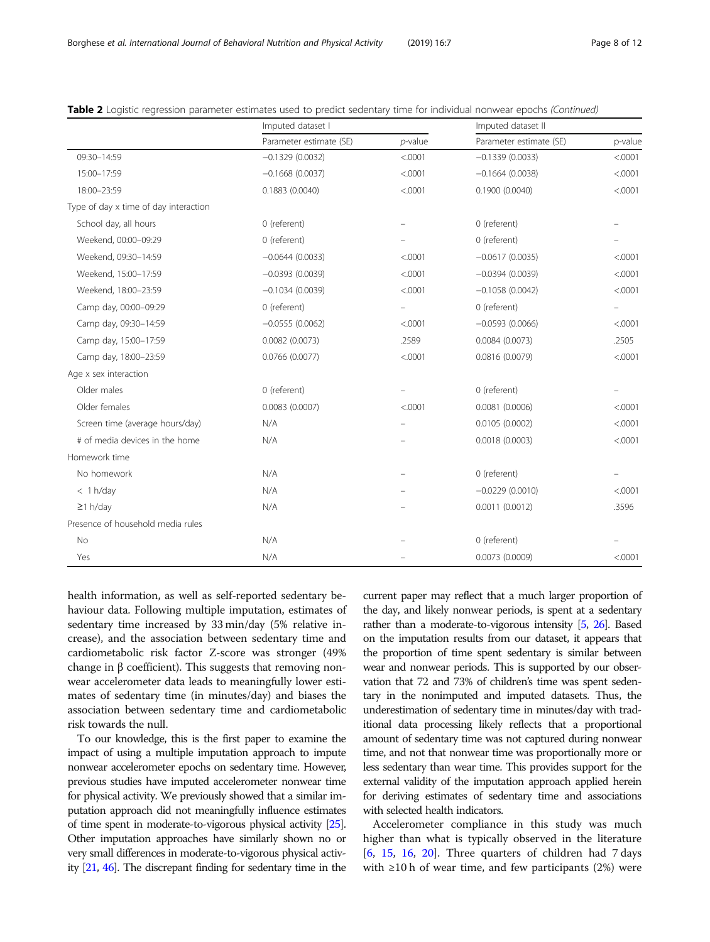|                                       | Imputed dataset I       |                   | Imputed dataset II      |         |
|---------------------------------------|-------------------------|-------------------|-------------------------|---------|
|                                       | Parameter estimate (SE) | $p$ -value        | Parameter estimate (SE) | p-value |
| 09:30-14:59                           | $-0.1329(0.0032)$       | < .0001           | $-0.1339(0.0033)$       | < .0001 |
| 15:00-17:59                           | $-0.1668(0.0037)$       | < .0001           | $-0.1664(0.0038)$       | < .0001 |
| 18:00-23:59                           | 0.1883(0.0040)          | < .0001           | 0.1900(0.0040)          | < .0001 |
| Type of day x time of day interaction |                         |                   |                         |         |
| School day, all hours                 | 0 (referent)            |                   | 0 (referent)            |         |
| Weekend, 00:00-09:29                  | 0 (referent)            |                   | 0 (referent)            |         |
| Weekend, 09:30-14:59                  | $-0.0644(0.0033)$       | < .0001           | $-0.0617(0.0035)$       | < .0001 |
| Weekend, 15:00-17:59                  | $-0.0393(0.0039)$       | < .0001           | $-0.0394(0.0039)$       | < .0001 |
| Weekend, 18:00-23:59                  | $-0.1034(0.0039)$       | < .0001           | $-0.1058(0.0042)$       | < .0001 |
| Camp day, 00:00-09:29                 | 0 (referent)            | $\qquad \qquad -$ | 0 (referent)            |         |
| Camp day, 09:30-14:59                 | $-0.0555(0.0062)$       | < .0001           | $-0.0593(0.0066)$       | < .0001 |
| Camp day, 15:00-17:59                 | 0.0082(0.0073)          | .2589             | 0.0084(0.0073)          | .2505   |
| Camp day, 18:00-23:59                 | 0.0766 (0.0077)         | < .0001           | 0.0816(0.0079)          | < .0001 |
| Age x sex interaction                 |                         |                   |                         |         |
| Older males                           | 0 (referent)            |                   | 0 (referent)            |         |
| Older females                         | 0.0083(0.0007)          | < .0001           | 0.0081(0.0006)          | < .0001 |
| Screen time (average hours/day)       | N/A                     |                   | 0.0105(0.0002)          | < .0001 |
| # of media devices in the home        | N/A                     |                   | 0.0018(0.0003)          | < .0001 |
| Homework time                         |                         |                   |                         |         |
| No homework                           | N/A                     |                   | 0 (referent)            |         |
| $<$ 1 h/day                           | N/A                     |                   | $-0.0229(0.0010)$       | < .0001 |
| $\geq$ 1 h/day                        | N/A                     |                   | 0.0011(0.0012)          | .3596   |
| Presence of household media rules     |                         |                   |                         |         |
| No                                    | N/A                     |                   | 0 (referent)            |         |
| Yes                                   | N/A                     |                   | 0.0073(0.0009)          | < .0001 |

Table 2 Logistic regression parameter estimates used to predict sedentary time for individual nonwear epochs (Continued)

health information, as well as self-reported sedentary behaviour data. Following multiple imputation, estimates of sedentary time increased by 33 min/day (5% relative increase), and the association between sedentary time and cardiometabolic risk factor Z-score was stronger (49% change in β coefficient). This suggests that removing nonwear accelerometer data leads to meaningfully lower estimates of sedentary time (in minutes/day) and biases the association between sedentary time and cardiometabolic risk towards the null.

To our knowledge, this is the first paper to examine the impact of using a multiple imputation approach to impute nonwear accelerometer epochs on sedentary time. However, previous studies have imputed accelerometer nonwear time for physical activity. We previously showed that a similar imputation approach did not meaningfully influence estimates of time spent in moderate-to-vigorous physical activity [\[25\]](#page-11-0). Other imputation approaches have similarly shown no or very small differences in moderate-to-vigorous physical activity [\[21](#page-11-0), [46](#page-11-0)]. The discrepant finding for sedentary time in the

current paper may reflect that a much larger proportion of the day, and likely nonwear periods, is spent at a sedentary rather than a moderate-to-vigorous intensity [\[5,](#page-11-0) [26](#page-11-0)]. Based on the imputation results from our dataset, it appears that the proportion of time spent sedentary is similar between wear and nonwear periods. This is supported by our observation that 72 and 73% of children's time was spent sedentary in the nonimputed and imputed datasets. Thus, the underestimation of sedentary time in minutes/day with traditional data processing likely reflects that a proportional amount of sedentary time was not captured during nonwear time, and not that nonwear time was proportionally more or less sedentary than wear time. This provides support for the external validity of the imputation approach applied herein for deriving estimates of sedentary time and associations with selected health indicators.

Accelerometer compliance in this study was much higher than what is typically observed in the literature  $[6, 15, 16, 20]$  $[6, 15, 16, 20]$  $[6, 15, 16, 20]$  $[6, 15, 16, 20]$  $[6, 15, 16, 20]$  $[6, 15, 16, 20]$  $[6, 15, 16, 20]$  $[6, 15, 16, 20]$ . Three quarters of children had 7 days with  $\geq 10$  h of wear time, and few participants (2%) were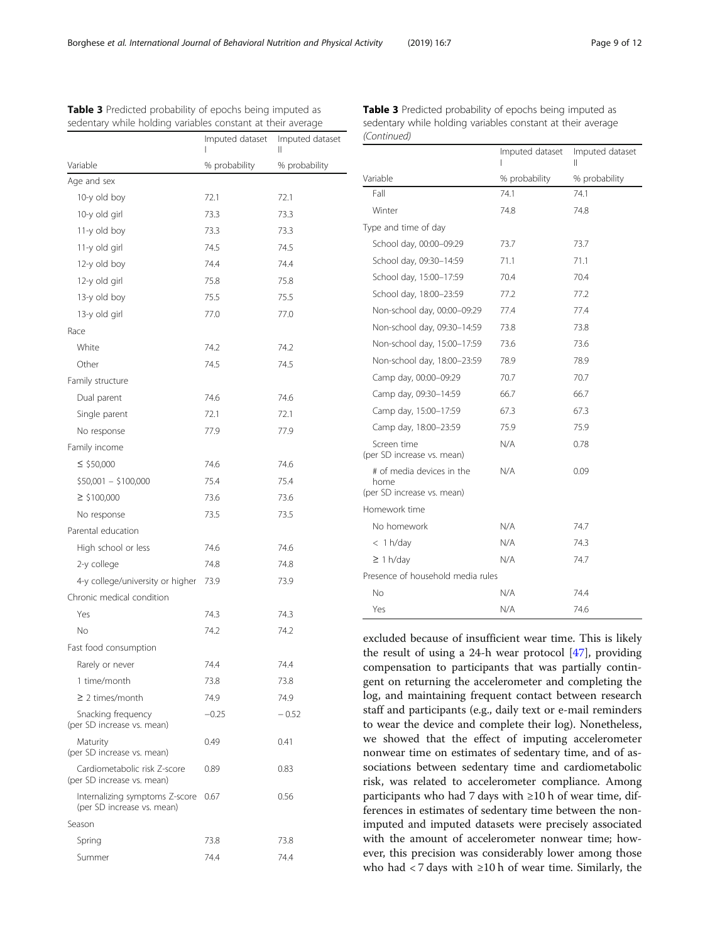|                                                              | Imputed dataset | Imputed dataset |
|--------------------------------------------------------------|-----------------|-----------------|
| Variable                                                     | % probability   | % probability   |
| Age and sex                                                  |                 |                 |
| 10-y old boy                                                 | 72.1            | 72.1            |
| 10-y old girl                                                | 73.3            | 73.3            |
| 11-y old boy                                                 | 73.3            | 73.3            |
| 11-y old girl                                                | 74.5            | 74.5            |
| 12-y old boy                                                 | 74.4            | 74.4            |
| 12-y old girl                                                | 75.8            | 75.8            |
| 13-y old boy                                                 | 75.5            | 75.5            |
| 13-y old girl                                                | 77.0            | 77.0            |
| Race                                                         |                 |                 |
| White                                                        | 74.2            | 74.2            |
| Other                                                        | 74.5            | 74.5            |
| Family structure                                             |                 |                 |
| Dual parent                                                  | 74.6            | 74.6            |
| Single parent                                                | 72.1            | 72.1            |
| No response                                                  | 77.9            | 77.9            |
| Family income                                                |                 |                 |
| $\le$ \$50,000                                               | 74.6            | 74.6            |
| $$50,001 - $100,000$                                         | 75.4            | 75.4            |
| $\geq$ \$100,000                                             | 73.6            | 73.6            |
| No response                                                  | 73.5            | 73.5            |
| Parental education                                           |                 |                 |
| High school or less                                          | 74.6            | 74.6            |
| 2-y college                                                  | 74.8            | 74.8            |
| 4-y college/university or higher                             | 73.9            | 73.9            |
| Chronic medical condition                                    |                 |                 |
| Yes                                                          | 74.3            | 74.3            |
| No                                                           | 74.2            | 74.2            |
| Fast food consumption                                        |                 |                 |
| Rarely or never                                              | 74.4            | 74.4            |
| 1 time/month                                                 | 73.8            | 73.8            |
| $\geq$ 2 times/month                                         | 74.9            | 74.9            |
| Snacking frequency<br>(per SD increase vs. mean)             | $-0.25$         | $-0.52$         |
| Maturity<br>(per SD increase vs. mean)                       | 0.49            | 0.41            |
| Cardiometabolic risk Z-score<br>(per SD increase vs. mean)   | 0.89            | 0.83            |
| Internalizing symptoms Z-score<br>(per SD increase vs. mean) | 0.67            | 0.56            |
| Season                                                       |                 |                 |
| Spring                                                       | 73.8            | 73.8            |
| Summer                                                       | 74.4            | 74.4            |

<span id="page-8-0"></span>

| <b>Table 3</b> Predicted probability of epochs being imputed as | Table 3 Predicted probability of epochs being imputed as    |
|-----------------------------------------------------------------|-------------------------------------------------------------|
| sedentary while holding variables constant at their average     | sedentary while holding variables constant at their average |
| Imputed datacet Imputed datacet                                 | (Continued)                                                 |

|                                                                 | Imputed dataset | Imputed dataset<br>Ш |
|-----------------------------------------------------------------|-----------------|----------------------|
| Variable                                                        | % probability   | % probability        |
| Fall                                                            | 74.1            | 74.1                 |
| Winter                                                          | 74.8            | 74.8                 |
| Type and time of day                                            |                 |                      |
| School day, 00:00-09:29                                         | 73.7            | 73.7                 |
| School day, 09:30-14:59                                         | 71.1            | 71.1                 |
| School day, 15:00-17:59                                         | 70.4            | 70.4                 |
| School day, 18:00-23:59                                         | 77.2            | 77.2                 |
| Non-school day, 00:00-09:29                                     | 77.4            | 77.4                 |
| Non-school day, 09:30-14:59                                     | 73.8            | 73.8                 |
| Non-school day, 15:00-17:59                                     | 73.6            | 73.6                 |
| Non-school day, 18:00-23:59                                     | 78.9            | 78.9                 |
| Camp day, 00:00-09:29                                           | 70.7            | 70.7                 |
| Camp day, 09:30-14:59                                           | 66.7            | 66.7                 |
| Camp day, 15:00-17:59                                           | 67.3            | 67.3                 |
| Camp day, 18:00-23:59                                           | 75.9            | 75.9                 |
| Screen time<br>(per SD increase vs. mean)                       | N/A             | 0.78                 |
| # of media devices in the<br>home<br>(per SD increase vs. mean) | N/A             | 0.09                 |
| Homework time                                                   |                 |                      |
| No homework                                                     | N/A             | 74.7                 |
| $<$ 1 h/day                                                     | N/A             | 74.3                 |
| $\geq$ 1 h/day                                                  | N/A             | 74.7                 |
| Presence of household media rules                               |                 |                      |
| Νo                                                              | N/A             | 74.4                 |
| Yes                                                             | N/A             | 74.6                 |

excluded because of insufficient wear time. This is likely the result of using a 24-h wear protocol [[47\]](#page-11-0), providing compensation to participants that was partially contingent on returning the accelerometer and completing the log, and maintaining frequent contact between research staff and participants (e.g., daily text or e-mail reminders to wear the device and complete their log). Nonetheless, we showed that the effect of imputing accelerometer nonwear time on estimates of sedentary time, and of associations between sedentary time and cardiometabolic risk, was related to accelerometer compliance. Among participants who had 7 days with ≥10 h of wear time, differences in estimates of sedentary time between the nonimputed and imputed datasets were precisely associated with the amount of accelerometer nonwear time; however, this precision was considerably lower among those who had  $<$  7 days with  $\geq$  10 h of wear time. Similarly, the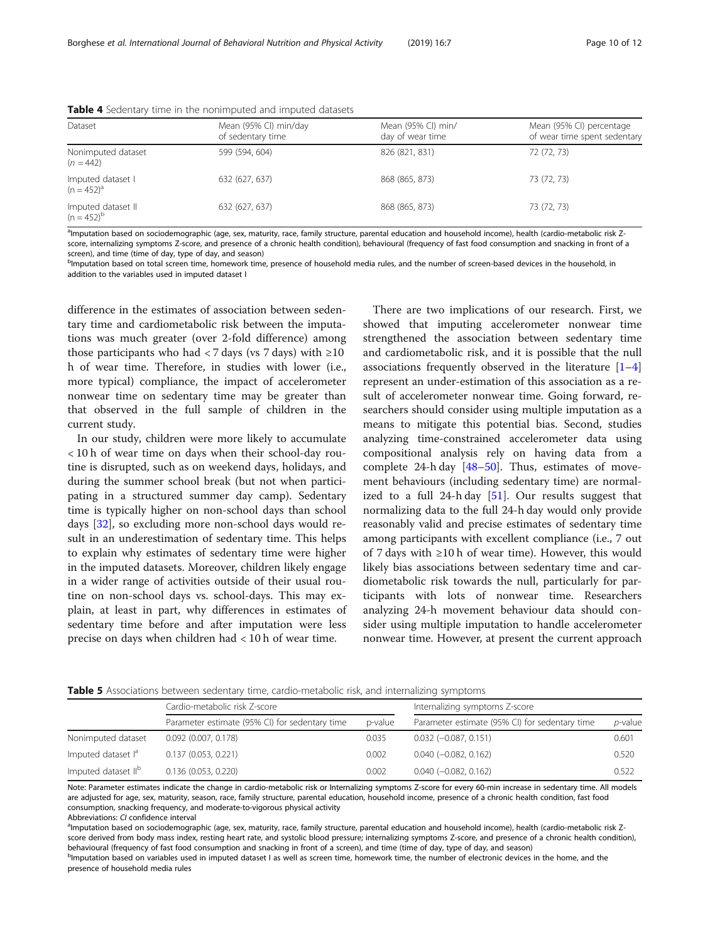| Dataset                               | Mean (95% CI) min/day<br>of sedentary time | Mean (95% CI) min/<br>day of wear time | Mean (95% CI) percentage<br>of wear time spent sedentary |
|---------------------------------------|--------------------------------------------|----------------------------------------|----------------------------------------------------------|
| Nonimputed dataset<br>$(n = 442)$     | 599 (594, 604)                             | 826 (821, 831)                         | 72 (72, 73)                                              |
| Imputed dataset I<br>$(n = 452)^a$    | 632 (627, 637)                             | 868 (865, 873)                         | 73 (72, 73)                                              |
| Imputed dataset II<br>$(n = 452)^{b}$ | 632 (627, 637)                             | 868 (865, 873)                         | 73 (72, 73)                                              |

<span id="page-9-0"></span>Table 4 Sedentary time in the nonimputed and imputed datasets

<sup>a</sup>lmputation based on sociodemographic (age, sex, maturity, race, family structure, parental education and household income), health (cardio-metabolic risk Zscore, internalizing symptoms Z-score, and presence of a chronic health condition), behavioural (frequency of fast food consumption and snacking in front of a screen), and time (time of day, type of day, and season)

b<sub>l</sub>mputation based on total screen time, homework time, presence of household media rules, and the number of screen-based devices in the household, in addition to the variables used in imputed dataset I

difference in the estimates of association between sedentary time and cardiometabolic risk between the imputations was much greater (over 2-fold difference) among those participants who had < 7 days (vs 7 days) with  $\geq 10$ h of wear time. Therefore, in studies with lower (i.e., more typical) compliance, the impact of accelerometer nonwear time on sedentary time may be greater than that observed in the full sample of children in the current study.

In our study, children were more likely to accumulate < 10 h of wear time on days when their school-day routine is disrupted, such as on weekend days, holidays, and during the summer school break (but not when participating in a structured summer day camp). Sedentary time is typically higher on non-school days than school days [\[32\]](#page-11-0), so excluding more non-school days would result in an underestimation of sedentary time. This helps to explain why estimates of sedentary time were higher in the imputed datasets. Moreover, children likely engage in a wider range of activities outside of their usual routine on non-school days vs. school-days. This may explain, at least in part, why differences in estimates of sedentary time before and after imputation were less precise on days when children had < 10 h of wear time.

There are two implications of our research. First, we showed that imputing accelerometer nonwear time strengthened the association between sedentary time and cardiometabolic risk, and it is possible that the null associations frequently observed in the literature  $[1-4]$  $[1-4]$  $[1-4]$  $[1-4]$  $[1-4]$ represent an under-estimation of this association as a result of accelerometer nonwear time. Going forward, researchers should consider using multiple imputation as a means to mitigate this potential bias. Second, studies analyzing time-constrained accelerometer data using compositional analysis rely on having data from a complete 24-h day  $[48-50]$  $[48-50]$  $[48-50]$  $[48-50]$ . Thus, estimates of movement behaviours (including sedentary time) are normalized to a full 24-h day  $[51]$  $[51]$ . Our results suggest that normalizing data to the full 24-h day would only provide reasonably valid and precise estimates of sedentary time among participants with excellent compliance (i.e., 7 out of 7 days with ≥10 h of wear time). However, this would likely bias associations between sedentary time and cardiometabolic risk towards the null, particularly for participants with lots of nonwear time. Researchers analyzing 24-h movement behaviour data should consider using multiple imputation to handle accelerometer nonwear time. However, at present the current approach

**Table 5** Associations between sedentary time, cardio-metabolic risk, and internalizing symptoms

|                                 | Cardio-metabolic risk Z-score                  |         | Internalizing symptoms Z-score                 |                 |  |
|---------------------------------|------------------------------------------------|---------|------------------------------------------------|-----------------|--|
|                                 | Parameter estimate (95% CI) for sedentary time | p-value | Parameter estimate (95% CI) for sedentary time | <i>p</i> -value |  |
| Nonimputed dataset              | $0.092$ (0.007, 0.178)                         | 0.035   | $0.032 (-0.087, 0.151)$                        | 0.601           |  |
| Imputed dataset l <sup>a</sup>  | 0.137(0.053, 0.221)                            | 0.002   | $0.040 (-0.082, 0.162)$                        | 0.520           |  |
| Imputed dataset II <sup>b</sup> | 0.136(0.053, 0.220)                            | 0.002   | $0.040 (-0.082, 0.162)$                        | 0.522           |  |

Note: Parameter estimates indicate the change in cardio-metabolic risk or Internalizing symptoms Z-score for every 60-min increase in sedentary time. All models are adjusted for age, sex, maturity, season, race, family structure, parental education, household income, presence of a chronic health condition, fast food consumption, snacking frequency, and moderate-to-vigorous physical activity

Abbreviations: CI confidence interval

<sup>a</sup>lmputation based on sociodemographic (age, sex, maturity, race, family structure, parental education and household income), health (cardio-metabolic risk Zscore derived from body mass index, resting heart rate, and systolic blood pressure; internalizing symptoms Z-score, and presence of a chronic health condition), behavioural (frequency of fast food consumption and snacking in front of a screen), and time (time of day, type of day, and season)

b<sub>l</sub>mputation based on variables used in imputed dataset I as well as screen time, homework time, the number of electronic devices in the home, and the presence of household media rules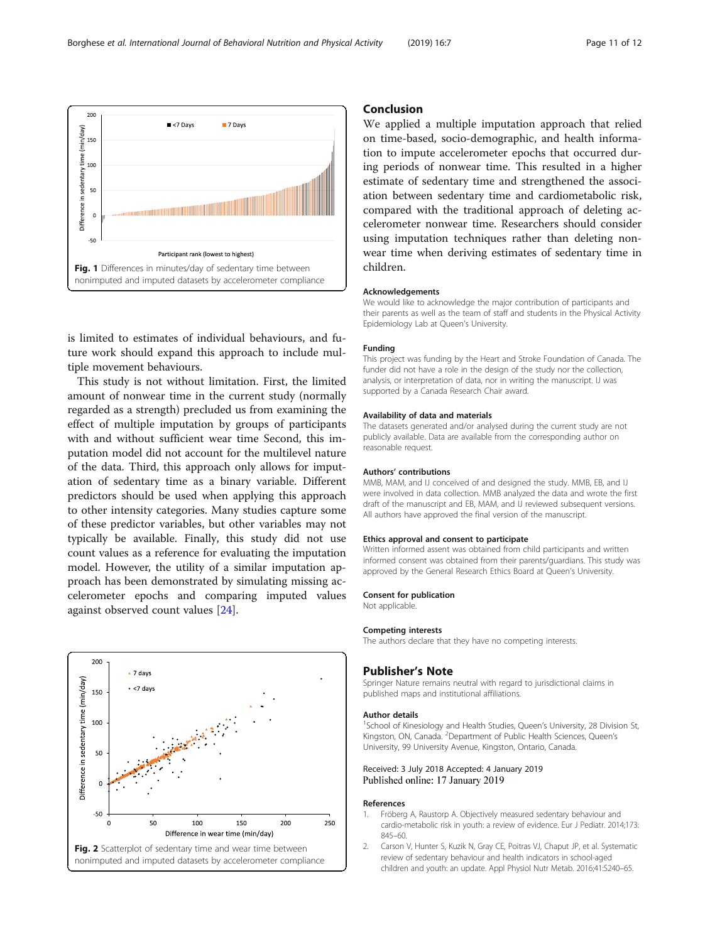is limited to estimates of individual behaviours, and future work should expand this approach to include multiple movement behaviours.

This study is not without limitation. First, the limited amount of nonwear time in the current study (normally regarded as a strength) precluded us from examining the effect of multiple imputation by groups of participants with and without sufficient wear time Second, this imputation model did not account for the multilevel nature of the data. Third, this approach only allows for imputation of sedentary time as a binary variable. Different predictors should be used when applying this approach to other intensity categories. Many studies capture some of these predictor variables, but other variables may not typically be available. Finally, this study did not use count values as a reference for evaluating the imputation model. However, the utility of a similar imputation approach has been demonstrated by simulating missing accelerometer epochs and comparing imputed values against observed count values [[24\]](#page-11-0).

## 200  $\overline{\phantom{a}}$  7 days Difference in sedentary time (min/day)  $\cdot$  <7 days 150 100 50  $\mathbf{o}$  $-50$ 50 100 150 200 250 Difference in wear time (min/day) Fig. 2 Scatterplot of sedentary time and wear time between

nonimputed and imputed datasets by accelerometer compliance

## Conclusion

We applied a multiple imputation approach that relied on time-based, socio-demographic, and health information to impute accelerometer epochs that occurred during periods of nonwear time. This resulted in a higher estimate of sedentary time and strengthened the association between sedentary time and cardiometabolic risk, compared with the traditional approach of deleting accelerometer nonwear time. Researchers should consider using imputation techniques rather than deleting nonwear time when deriving estimates of sedentary time in children.

#### Acknowledgements

We would like to acknowledge the major contribution of participants and their parents as well as the team of staff and students in the Physical Activity Epidemiology Lab at Queen's University.

#### Funding

This project was funding by the Heart and Stroke Foundation of Canada. The funder did not have a role in the design of the study nor the collection, analysis, or interpretation of data, nor in writing the manuscript. IJ was supported by a Canada Research Chair award.

#### Availability of data and materials

The datasets generated and/or analysed during the current study are not publicly available. Data are available from the corresponding author on reasonable request.

#### Authors' contributions

MMB, MAM, and IJ conceived of and designed the study. MMB, EB, and IJ were involved in data collection. MMB analyzed the data and wrote the first draft of the manuscript and EB, MAM, and IJ reviewed subsequent versions. All authors have approved the final version of the manuscript.

#### Ethics approval and consent to participate

Written informed assent was obtained from child participants and written informed consent was obtained from their parents/guardians. This study was approved by the General Research Ethics Board at Queen's University.

#### Consent for publication

Not applicable.

#### Competing interests

The authors declare that they have no competing interests.

## Publisher's Note

Springer Nature remains neutral with regard to jurisdictional claims in published maps and institutional affiliations.

#### Author details

<sup>1</sup>School of Kinesiology and Health Studies, Queen's University, 28 Division St Kingston, ON, Canada. <sup>2</sup>Department of Public Health Sciences, Queen's University, 99 University Avenue, Kingston, Ontario, Canada.

## Received: 3 July 2018 Accepted: 4 January 2019 Published online: 17 January 2019

### References

- 1. Fröberg A, Raustorp A. Objectively measured sedentary behaviour and cardio-metabolic risk in youth: a review of evidence. Eur J Pediatr. 2014;173: 845–60.
- 2. Carson V, Hunter S, Kuzik N, Gray CE, Poitras VJ, Chaput JP, et al. Systematic review of sedentary behaviour and health indicators in school-aged children and youth: an update. Appl Physiol Nutr Metab. 2016;41:S240–65.

<span id="page-10-0"></span>